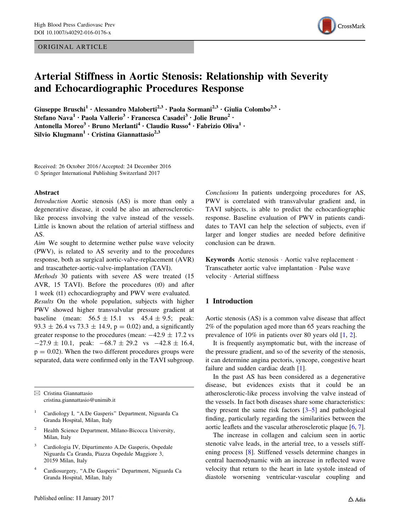ORIGINAL ARTICLE



# Arterial Stiffness in Aortic Stenosis: Relationship with Severity and Echocardiographic Procedures Response

Giuseppe Bruschi<sup>1</sup> • Alessandro Maloberti<sup>2,3</sup> • Paola Sormani<sup>2,3</sup> • Giulia Colombo<sup>2,3</sup> • Stefano Nava<sup>1</sup> · Paola Vallerio<sup>3</sup> · Francesca Casadei<sup>3</sup> · Jolie Bruno<sup>2</sup> · Antonella Moreo<sup>3</sup> · Bruno Merlanti<sup>4</sup> · Claudio Russo<sup>4</sup> · Fabrizio Oliva<sup>1</sup> · Silvio Klugmann<sup>1</sup> · Cristina Giannattasio<sup>2,3</sup>

Received: 26 October 2016 / Accepted: 24 December 2016 - Springer International Publishing Switzerland 2017

#### Abstract

Introduction Aortic stenosis (AS) is more than only a degenerative disease, it could be also an atheroscleroticlike process involving the valve instead of the vessels. Little is known about the relation of arterial stiffness and AS.

Aim We sought to determine wether pulse wave velocity (PWV), is related to AS severity and to the procedures response, both as surgical aortic-valve-replacement (AVR) and trascatheter-aortic-valve-implantation (TAVI).

Methods 30 patients with severe AS were treated (15 AVR, 15 TAVI). Before the procedures (t0) and after 1 week (t1) echocardiography and PWV were evaluated.

Results On the whole population, subjects with higher PWV showed higher transvalvular pressure gradient at baseline (mean:  $56.5 \pm 15.1$  vs  $45.4 \pm 9.5$ ; peak: 93.3  $\pm$  26.4 vs 73.3  $\pm$  14.9, p = 0.02) and, a significantly greater response to the procedures (mean:  $-42.9 \pm 17.2$  vs  $-27.9 \pm 10.1$ , peak:  $-68.7 \pm 29.2$  vs  $-42.8 \pm 16.4$ ,  $p = 0.02$ ). When the two different procedures groups were separated, data were confirmed only in the TAVI subgroup.

 $\boxtimes$  Cristina Giannattasio cristina.giannattasio@unimib.it

- <sup>1</sup> Cardiology I, "A.De Gasperis" Department, Niguarda Ca Granda Hospital, Milan, Italy
- <sup>2</sup> Health Science Department, Milano-Bicocca University, Milan, Italy
- Cardiologia IV, Dipartimento A.De Gasperis, Ospedale Niguarda Ca Granda, Piazza Ospedale Maggiore 3, 20159 Milan, Italy
- <sup>4</sup> Cardiosurgery, ''A.De Gasperis'' Department, Niguarda Ca Granda Hospital, Milan, Italy

Conclusions In patients undergoing procedures for AS, PWV is correlated with transvalvular gradient and, in TAVI subjects, is able to predict the echocardiographic response. Baseline evaluation of PWV in patients candidates to TAVI can help the selection of subjects, even if larger and longer studies are needed before definitive conclusion can be drawn.

Keywords Aortic stenosis - Aortic valve replacement - Transcatheter aortic valve implantation - Pulse wave velocity - Arterial stiffness

# 1 Introduction

Aortic stenosis (AS) is a common valve disease that affect 2% of the population aged more than 65 years reaching the prevalence of 10% in patients over 80 years old [\[1](#page-7-0), [2\]](#page-7-0).

It is frequently asymptomatic but, with the increase of the pressure gradient, and so of the severity of the stenosis, it can determine angina pectoris, syncope, congestive heart failure and sudden cardiac death [[1\]](#page-7-0).

In the past AS has been considered as a degenerative disease, but evidences exists that it could be an atherosclerotic-like process involving the valve instead of the vessels. In fact both diseases share some characteristics: they present the same risk factors [\[3–5](#page-8-0)] and pathological finding, particularly regarding the similarities between the aortic leaflets and the vascular atherosclerotic plaque [[6,](#page-8-0) [7](#page-8-0)].

The increase in collagen and calcium seen in aortic stenotic valve leads, in the arterial tree, to a vessels stiffening process [\[8](#page-8-0)]. Stiffened vessels determine changes in central haemodynamic with an increase in reflected wave velocity that return to the heart in late systole instead of diastole worsening ventricular-vascular coupling and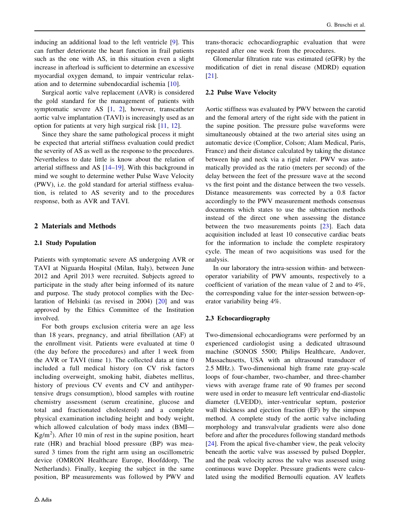inducing an additional load to the left ventricle [[9\]](#page-8-0). This can further deteriorate the heart function in frail patients such as the one with AS, in this situation even a slight increase in afterload is sufficient to determine an excessive myocardial oxygen demand, to impair ventricular relaxation and to determine subendocardial ischemia [[10\]](#page-8-0).

Surgical aortic valve replacement (AVR) is considered the gold standard for the management of patients with symptomatic severe AS [[1](#page-7-0), [2](#page-7-0)], however, transcatheter aortic valve implantation (TAVI) is increasingly used as an option for patients at very high surgical risk [[11,](#page-8-0) [12\]](#page-8-0).

Since they share the same pathological process it might be expected that arterial stiffness evaluation could predict the severity of AS as well as the response to the procedures. Nevertheless to date little is know about the relation of arterial stiffness and AS [\[14–19](#page-8-0)]. With this background in mind we sought to determine wether Pulse Wave Velocity (PWV), i.e. the gold standard for arterial stiffness evaluation, is related to AS severity and to the procedures response, both as AVR and TAVI.

# 2 Materials and Methods

## 2.1 Study Population

Patients with symptomatic severe AS undergoing AVR or TAVI at Niguarda Hospital (Milan, Italy), between June 2012 and April 2013 were recruited. Subjects agreed to participate in the study after being informed of its nature and purpose. The study protocol complies with the Declaration of Helsinki (as revised in 2004) [\[20](#page-8-0)] and was approved by the Ethics Committee of the Institution involved.

For both groups exclusion criteria were an age less than 18 years, pregnancy, and atrial fibrillation (AF) at the enrollment visit. Patients were evaluated at time 0 (the day before the procedures) and after 1 week from the AVR or TAVI (time 1). The collected data at time 0 included a full medical history (on CV risk factors including overweight, smoking habit, diabetes mellitus, history of previous CV events and CV and antihypertensive drugs consumption), blood samples with routine chemistry assessment (serum creatinine, glucose and total and fractionated cholesterol) and a complete physical examination including height and body weight, which allowed calculation of body mass index (BMI—  $Kg/m<sup>2</sup>$ ). After 10 min of rest in the supine position, heart rate (HR) and brachial blood pressure (BP) was measured 3 times from the right arm using an oscillometric device (OMRON Healthcare Europe, Hoofddorp, The Netherlands). Finally, keeping the subject in the same position, BP measurements was followed by PWV and

trans-thoracic echocardiographic evaluation that were repeated after one week from the procedures.

Glomerular filtration rate was estimated (eGFR) by the modification of diet in renal disease (MDRD) equation [\[21](#page-8-0)].

## 2.2 Pulse Wave Velocity

Aortic stiffness was evaluated by PWV between the carotid and the femoral artery of the right side with the patient in the supine position. The pressure pulse waveforms were simultaneously obtained at the two arterial sites using an automatic device (Complior, Colson; Alam Medical, Paris, France) and their distance calculated by taking the distance between hip and neck via a rigid ruler. PWV was automatically provided as the ratio (meters per second) of the delay between the feet of the pressure wave at the second vs the first point and the distance between the two vessels. Distance measurements was corrected by a 0.8 factor accordingly to the PWV measurement methods consensus documents which states to use the subtraction methods instead of the direct one when assessing the distance between the two measurements points [\[23](#page-8-0)]. Each data acquisition included at least 10 consecutive cardiac beats for the information to include the complete respiratory cycle. The mean of two acquisitions was used for the analysis.

In our laboratory the intra-session within- and betweenoperator variability of PWV amounts, respectively to a coefficient of variation of the mean value of 2 and to 4%, the corresponding value for the inter-session between-operator variability being 4%.

## 2.3 Echocardiography

Two-dimensional echocardiograms were performed by an experienced cardiologist using a dedicated ultrasound machine (SONOS 5500; Philips Healthcare, Andover, Massachusetts, USA with an ultrasound transducer of 2.5 MHz.). Two-dimensional high frame rate gray-scale loops of four-chamber, two-chamber, and three-chamber views with average frame rate of 90 frames per second were used in order to measure left ventricular end-diastolic diameter (LVEDD), inter-ventricular septum, posterior wall thickness and ejection fraction (EF) by the simpson method. A complete study of the aortic valve including morphology and transvalvular gradients were also done before and after the procedures following standard methods [\[24](#page-8-0)]. From the apical five-chamber view, the peak velocity beneath the aortic valve was assessed by pulsed Doppler, and the peak velocity across the valve was assessed using continuous wave Doppler. Pressure gradients were calculated using the modified Bernoulli equation. AV leaflets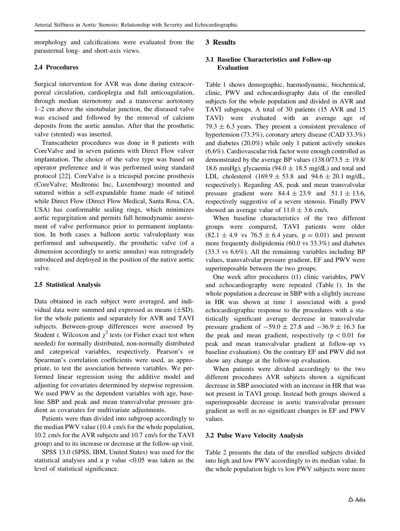morphology and calcifications were evaluated from the parasternal long- and short-axis views.

### 2.4 Procedures

Surgical intervention for AVR was done during extracorporeal circulation, cardioplegia and full anticoagulation, through median sternotomy and a transverse aortotomy 1–2 cm above the sinotubular junction, the diseased valve was excised and followed by the removal of calcium deposits from the aortic annulus. After that the prosthetic valve (stented) was inserted.

Transcatheter procedures was done in 8 patients with CoreValve and in seven patients with Direct Flow valver implantation. The choice of the valve type was based on operator preference and it was performed using standard protocol [\[22](#page-8-0)]. CoreValve is a tricuspid porcine prosthesis (CoreValve; Medtronic Inc, Luxembourg) mounted and sutured within a self-expandable frame made of nitinol while Direct Flow (Direct Flow Medical, Santa Rosa, CA, USA) has conformable sealing rings, which minimizes aortic regurgitation and permits full hemodynamic assessment of valve performance prior to permanent implantation. In both cases a balloon aortic valvuloplasty was performed and subsequently, the prosthetic valve (of a dimension accordingly to aortic annulus) was retrogradely introduced and deployed in the position of the native aortic valve.

#### 2.5 Statistical Analysis

Data obtained in each subject were averaged, and individual data were summed and expressed as means  $(\pm SD)$ , for the whole patients and separately for AVR and TAVI subjects. Between-group differences were assessed by Student t, Wilcoxon and  $\chi^2$  tests (or Fisher exact test when needed) for normally distributed, non-normally distributed and categorical variables, respectively. Pearson's or Spearman's correlation coefficients were used, as appropriate, to test the association between variables. We performed linear regression using the additive model and adjusting for covariates determined by stepwise regression. We used PWV as the dependent variables with age, baseline SBP and peak and mean transvalvular pressure gradient as covariates for multivariate adjustments.

Patients were than divided into subgroup accordingly to the median PWV value (10.4 cm/s for the whole population, 10.2 cm/s for the AVR subjects and 10.7 cm/s for the TAVI group) and to its increase or decrease at the follow-up visit.

SPSS 13.0 (SPSS, IBM, United States) was used for the statistical analyses and a p value  $\langle 0.05 \rangle$  was taken as the level of statistical significance.

## 3 Results

## 3.1 Baseline Characteristics and Follow-up Evaluation

Table [1](#page-3-0) shows demographic, haemodynamic, biochemical, clinic, PWV and echocardiography data of the enrolled subjects for the whole population and divided in AVR and TAVI subgroups. A total of 30 patients (15 AVR and 15 TAVI) were evaluated with an average age of 79.3  $\pm$  6.3 years. They present a consistent prevalence of hypertension (73.3%), coronary artery disease (CAD 33.3%) and diabetes (20.0%) while only 1 patient actively smokes (6.6%). Cardiovascular risk factor were enough controlled as demonstrated by the average BP values (138.0/73.5  $\pm$  19.8/ 18.6 mmHg), glycaemia (94.0  $\pm$  18.5 mg/dL) and total and LDL cholesterol  $(169.9 \pm 53.8)$  and  $94.6 \pm 20.1$  mg/dL, respectively). Regarding AS, peak and mean transvalvular pressure gradient were  $84.4 \pm 23.9$  and  $51.1 \pm 13.6$ , respectively suggestive of a severe stenosis. Finally PWV showed an average value of  $11.0 \pm 3.6$  cm/s.

When baseline characteristics of the two different groups were compared, TAVI patients were older  $(82.1 \pm 4.9 \text{ vs } 76.5 \pm 6.4 \text{ years}, p = 0.01)$  and present more frequently dislipidemia (60.0 vs 33.3%) and diabetes (33.3 vs 6.6%). All the remaining variables including BP values, transvalvular pressure gradient, EF and PWV were superimposable between the two groups.

One week after procedures (t1) clinic variables, PWV and echocardiography were repeated (Table [1](#page-3-0)). In the whole population a decrease in SBP with a slightly increase in HR was shown at time 1 associated with a good echocardiographic response to the procedures with a statistically significant average decrease in transvalvular pressure gradient of  $-59.0 \pm 27.8$  and  $-36.9 \pm 16.3$  for the peak and mean gradient, respectively  $(p<0.01$  for peak and mean transvalvular gradient at follow-up vs baseline evaluation). On the contrary EF and PWV did not show any change at the follow-up evaluation.

When patients were divided accordingly to the two different procedures AVR subjects shown a significant decrease in SBP associated with an increase in HR that was not present in TAVI group. Instead both groups showed a superimposable decrease in aortic transvalvular pressure gradient as well as no significant changes in EF and PWV values.

#### 3.2 Pulse Wave Velocity Analysis

Table [2](#page-4-0) presents the data of the enrolled subjects divided into high and low PWV accordingly to its median value. In the whole population high vs low PWV subjects were more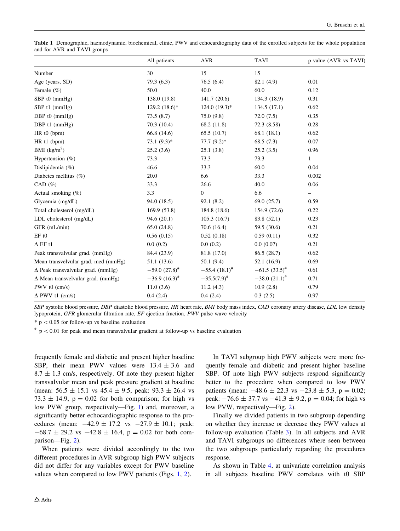<span id="page-3-0"></span>Table 1 Demographic, haemodynamic, biochemical, clinic, PWV and echocardiography data of the enrolled subjects for the whole population and for AVR and TAVI groups

|                                          | All patients          | <b>AVR</b>         | <b>TAVI</b>       | p value (AVR vs TAVI) |
|------------------------------------------|-----------------------|--------------------|-------------------|-----------------------|
| Number                                   | 30                    | 15                 | 15                |                       |
| Age (years, SD)                          | 79.3(6.3)             | 76.5(6.4)          | 82.1 (4.9)        | 0.01                  |
| Female $(\% )$                           | 50.0                  | 40.0               | 60.0              | 0.12                  |
| SBP t0 (mmHg)                            | 138.0 (19.8)          | 141.7(20.6)        | 134.3 (18.9)      | 0.31                  |
| SBP t1 (mmHg)                            | $129.2 (18.6)^*$      | $124.0(19.3)*$     | 134.5(17.1)       | 0.62                  |
| DBP t0 (mmHg)                            | 73.5(8.7)             | 75.0(9.8)          | 72.0(7.5)         | 0.35                  |
| DBP t1 (mmHg)                            | 70.3(10.4)            | 68.2 (11.8)        | 72.3 (8.58)       | 0.28                  |
| HR t0 (bpm)                              | 66.8 (14.6)           | 65.5(10.7)         | 68.1(18.1)        | 0.62                  |
| HR t1 (bpm)                              | $73.1 (9.3)^*$        | $77.7(9.2)^*$      | 68.5(7.3)         | 0.07                  |
| BMI $(kg/m2)$                            | 25.2(3.6)             | 25.1(3.8)          | 25.2(3.5)         | 0.96                  |
| Hypertension (%)                         | 73.3                  | 73.3               | 73.3              | $\mathbf{1}$          |
| Dislipidemia (%)                         | 46.6                  | 33.3               | 60.0              | 0.04                  |
| Diabetes mellitus (%)                    | 20.0                  | 6.6                | 33.3              | 0.002                 |
| CAD $(\% )$                              | 33.3                  | 26.6               | 40.0              | 0.06                  |
| Actual smoking (%)                       | 3.3                   | $\mathbf{0}$       | 6.6               | -                     |
| Glycemia (mg/dL)                         | 94.0 (18.5)           | 92.1(8.2)          | 69.0(25.7)        | 0.59                  |
| Total cholesterol (mg/dL)                | 169.9(53.8)           | 184.8 (18.6)       | 154.9 (72.6)      | 0.22                  |
| LDL cholesterol (mg/dL)                  | 94.6(20.1)            | 105.3(16.7)        | 83.8 (52.1)       | 0.23                  |
| GFR (mL/min)                             | 65.0(24.8)            | 70.6(16.4)         | 59.5 (30.6)       | 0.21                  |
| EF t0                                    | 0.56(0.15)            | 0.52(0.18)         | 0.59(0.11)        | 0.32                  |
| $\Delta$ EF t1                           | 0.0(0.2)              | 0.0(0.2)           | 0.0(0.07)         | 0.21                  |
| Peak transvalvular grad. (mmHg)          | 84.4 (23.9)           | 81.8 (17.0)        | 86.5(28.7)        | 0.62                  |
| Mean transvelvular grad. med (mmHg)      | 51.1 (13.6)           | 50.1(9.4)          | 52.1 (16.9)       | 0.69                  |
| $\Delta$ Peak transvalvular grad. (mmHg) | $-59.0(27.8)^{#}$     | $-55.4(18.1)^{\#}$ | $-61.5(33.5)^{#}$ | 0.61                  |
| $\Delta$ Mean transvelvular grad. (mmHg) | $-36.9$ $(16.3)^{\#}$ | $-35.5(7.9)^{\#}$  | $-38.0(21.1)^{#}$ | 0.71                  |
| PWV $t0$ (cm/s)                          | 11.0(3.6)             | 11.2(4.3)          | 10.9(2.8)         | 0.79                  |
| $\Delta$ PWV t1 (cm/s)                   | 0.4(2.4)              | 0.4(2.4)           | 0.3(2.5)          | 0.97                  |

SBP systolic blood pressure, DBP diastolic blood pressure, HR heart rate, BMI body mass index, CAD coronary artery disease, LDL low density lypoprotein, GFR glomerular filtration rate, EF ejection fraction, PWV pulse wave velocity

 $*$  p  $< 0.05$  for follow-up vs baseline evaluation

 $*$  p  $< 0.01$  for peak and mean transvalvular gradient at follow-up vs baseline evaluation

frequently female and diabetic and present higher baseline SBP, their mean PWV values were  $13.4 \pm 3.6$  and  $8.7 \pm 1.3$  cm/s, respectively. Of note they present higher transvalvular mean and peak pressure gradient at baseline (mean:  $56.5 \pm 15.1$  vs  $45.4 \pm 9.5$ , peak:  $93.3 \pm 26.4$  vs 73.3  $\pm$  14.9, p = 0.02 for both comparison; for high vs low PVW group, respectively—Fig. [1\)](#page-5-0) and, moreover, a significantly better echocardiographic response to the procedures (mean:  $-42.9 \pm 17.2$  vs  $-27.9 \pm 10.1$ ; peak:  $-68.7 \pm 29.2$  vs  $-42.8 \pm 16.4$ , p = 0.02 for both comparison—Fig. [2\)](#page-5-0).

When patients were divided accordingly to the two different procedures in AVR subgroup high PWV subjects did not differ for any variables except for PWV baseline values when compared to low PWV patients (Figs. [1](#page-5-0), [2](#page-5-0)).

In TAVI subgroup high PWV subjects were more frequently female and diabetic and present higher baseline SBP. Of note high PWV subjects respond significantly better to the procedure when compared to low PWV patients (mean:  $-48.6 \pm 22.3$  vs  $-23.8 \pm 5.3$ , p = 0.02; peak:  $-76.6 \pm 37.7$  vs  $-41.3 \pm 9.2$ , p = 0.04; for high vs low PVW, respectively—Fig. [2\)](#page-5-0).

Finally we divided patients in two subgroup depending on whether they increase or decrease they PWV values at follow-up evaluation (Table [3\)](#page-6-0). In all subjects and AVR and TAVI subgroups no differences where seen between the two subgroups particularly regarding the procedures response.

As shown in Table [4](#page-7-0), at univariate correlation analysis in all subjects baseline PWV correlates with t0 SBP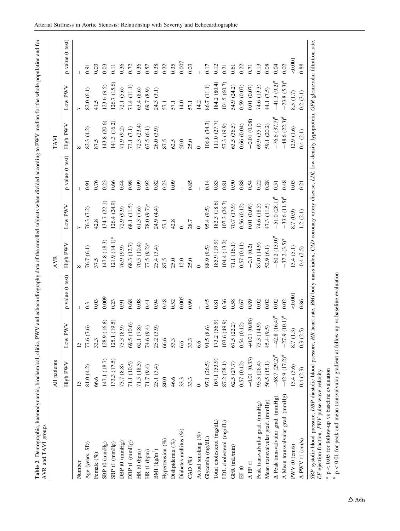| ļ<br>֧֧ׅ֧֧֧֧֧֧֧֧֧֧ׅ֧֧ׅ֧֧֚֚֚֚֚֚֚֚֚֚֚֚֚֚֚֚֚֚֚֚֚֝֓֡֓֕֓֓֡֡֡֬֜֓֓֓֡֓֡֬֓֓֓֓֓֓֓֜֓֝֬֜֓֬֝֬                              |                      |
|---------------------------------------------------------------------------------------------------------------|----------------------|
| $5 - 7$                                                                                                       |                      |
| $\overline{\phantom{a}}$                                                                                      |                      |
|                                                                                                               |                      |
|                                                                                                               |                      |
| ֧֦֦֦֦֦֦֦ׅ֦֦֦֧ׅ֦֧ׅ֦֧ׅ֦֧ׅ֧ׅ֧ׅ֧֧ׅ֧ׅ֧֧ׅ֧֧֧֧֛֛֛֛֛֛֛֛֛֛֛֛֛֛֛֛֛֛֛֛֛֚֚֚֚֚֚֚֚֚֚֚֝֝֝֜֝֝֜֜֝֝֬֜֜֓֜֜֓֜֓֜֝֜֜֓֜֝֬֜֜֜֜֜֜֜֜֜֜֜ |                      |
|                                                                                                               |                      |
| i                                                                                                             |                      |
| i                                                                                                             |                      |
| $\ddot{\phantom{0}}$                                                                                          |                      |
|                                                                                                               |                      |
|                                                                                                               |                      |
|                                                                                                               | t<br>$\frac{1}{2}$   |
| $\overline{a}$<br>.<br>أ                                                                                      | $\ddot{\phantom{0}}$ |

<span id="page-4-0"></span>

|                                   | All patients          |                                                            |                  | <b>AVR</b>                  |                            |                  | TAVI                |                   |                   |
|-----------------------------------|-----------------------|------------------------------------------------------------|------------------|-----------------------------|----------------------------|------------------|---------------------|-------------------|-------------------|
|                                   | High PWV              | PWV<br>Low                                                 | p value (t test) | High PWV                    | Low PWV                    | p value (t test) | High PWV            | Low PWV           | p value (t test)  |
| Number                            | 15                    | $\overline{15}$                                            |                  |                             |                            |                  |                     |                   |                   |
| Age (years, SD)                   | 81.0(4.2)             | 77.6 (7.6)                                                 | $0.\overline{3}$ | 76.7 (6.1)                  | 76.3 (7.2)                 | 0.91             | 82.3(4.2)           | 82.0(6.1)         | 0.91              |
| Female $(\%)$                     | 66.6                  | 33.3                                                       | 0.03             | 37.5                        | 42.8                       | 0.76             | 87.5                | 41.5              | 0.03              |
| $SBP$ t0 ( $mmHg$ )               | 147.1 (18.7)          | 128.9                                                      | 0.009            | 147.8 (18.3)                | 134.7 (22.1)               | 0.23             | 143.8 (20.6)        | 123.6(9.5)        | 0.03              |
| SBP t1 (mmHg)                     | 133.3 (17.5)          | $(16.8)$<br>$(19.5)$<br>125.1                              | 0.23             | $121.9(14.1)$ *             | 126.4 (24.9)               | 0.66             | 141.3 (16.2)        | 126.7 (15.6)      | $\overline{0.11}$ |
| DBP t0 $(mmHg)$                   | 73.7 (8.8)            | (8.9)<br>73.3(                                             | 0.91             | 76.9 (9.9)                  | 72.9(9.9)                  | 0.44             | 71.9(9.2)           | 72.1(5.6)         | 0.36              |
| DBP t1 (mmHg)                     | 71.1 (10.5)           | (10.6)<br>69.5                                             | 0.68             | 68.3 (12.7)                 | 68.1 (11.5)                | 0.98             | 73.1 (7.1)          | 71.4 (11.1)       | 0.72              |
| HR <sub>t0</sub> (bpm)            | 71.5(18.3)            | $(7.8)$<br>62.1                                            | 0.08             | 70.5(10.4)                  | 61.3(7.6)                  | 0.09             | 72.3(23.4)          | 63.4(8.6)         | 0.36              |
| HR <sub>t1</sub> (bpm)            | 71.7(9.4)             | (9.4)<br>74.6                                              | 0.41             | $77.5 (9.2)$ *              | 78.0 $(9.7)$ *             | 0.92             | 67.5(6.1)           | 69.7(8.9)         | 0.57              |
| BMI $(kg/m^2)$                    | 25.1(3.4)             | (3.9)<br>25.2                                              | 0.94             | 25.4(3.4)                   | 24.9 (4.4)                 | 0.82             | 26.0 (3.9)          | 24.3(3.1)         | 0.38              |
| Hypertension $(\%$                | 80.0                  | 66.6                                                       | 0.48             | 87.5                        | 57.1                       | 0.23             | 87.5                | 57.1              | 0.22              |
| Dislipidemia (%)                  | 46.6                  | 53.3                                                       | 0.52             | 25.0                        | 42.8                       | 0.09             | 62.5                | 57.1              | 0.35              |
| Diabetes mellitus (%)             | 33.3                  | 6.6                                                        | 0.005            | 12.0                        |                            |                  | $50.0$              | 14.0              | 0.007             |
| CAD $(\%)$                        | 33.3                  | 33.3                                                       | 0.99             | 25.0                        | 28.7                       | 0.85             | 25.0                | 57.1              | 0.03              |
| Actual smoking $(\%)$             |                       | 6.6                                                        |                  |                             |                            |                  |                     | 14.2              |                   |
| Glycemia (mg/dL)                  | 97.1 (26.5)           | (8.6)<br>91.5(                                             | 0.45             | 88.9 (9.5)                  | 95.4 (9.5)                 | 0.14             | 106.8(34.3)         | 86.7 (11.1)       | 0.17              |
| Total cholesterol (mg/dL)         | 167.1 (53.9)          | 173.2 (56.9)                                               | 0.81             | 185.9 (19.9)                | 182.3 (18.6)               | 0.83             | 111.0 (27.7)        | 184.2(80.4)       |                   |
| LDL cholesterol (mg/dL)           | 87.2 (28.1)           |                                                            | 0.36             | 104.4 (13.2)                | 107.3 (26.7)               | 0.81             | 57.3 (19.9)         | 101.5(60.7)       | $0.12$<br>$0.21$  |
| GFR (mL/min)                      | 62.5(27.7)            | $\begin{array}{c} 103.6 (49.9) \\ 67.5 (22.2) \end{array}$ | 0.58             | 71.1(16.1)                  | 70.7 (17.9)                | 0.90             | 63.5 (36.5)         | 54.9 (24.2)       | 0.61              |
| EF t $0$                          | 0.57(0.12)            | 0.54(0.12)                                                 | 0.67             | 0.57(0.11)                  | 0.56(0.12)                 | 0.88             | 0.66(0.04)          | 0.59(0.07)        | $0.22$<br>$0.71$  |
| $\Delta$ EF t1                    | $-0.01(0.33)$         | $+0.01(0.08)$                                              | 0.89             | $-0.1(0.2)$                 | 0.01(0.09)                 | 0.54             | $-0.01(0.08)$       | 0.01(0.07)        |                   |
| Peak transvalvular grad. (mmHg)   | 93.3 (26.4)           | 73.3 (14.9)                                                | 0.02             | 87.0 (14.9)                 | 74.6 (18.5)                | 0.22             | 69.9 (35.1)         | 74.6 (13.3)       | 0.13              |
| Mean transvalvular grad. (mmHg)   | 56.5 (15.1)           | 45.4 (9.5)                                                 | 0.02             | 52.9(6.1)                   | 47.3 (11.5)                | 0.28             | 59.1 (20.2)         | 44.1 (7.5)        | $0.08\,$          |
| A Peak transvalvular grad. (mmHg) | $-68.7 (29.2)^{4}$    | $-42.8$ $(16.4)^{\#}$<br>$-27.9$ $(10.1)^{\#}$             | 0.02             | $-60.2$ $(13.0)^{\text{#}}$ | $-51.0 (28.1)^{#}$         | $\overline{0.5}$ | $-76.6 (37.7)^*$    | $-41.3(9.2)^{#}$  | 0.04              |
| A Mean transvalvular grad. (mmHg) | $-42.9$ $(17.2)^{\#}$ |                                                            | 0.02             | $-37.2$ $(3.5)^{\#}$        | $-33.6(11.5)$ <sup>#</sup> | 0.48             | $-48.6 (22.3)^{\#}$ | $-23.8 (5.3)^{#}$ | 0.02              |
| $PWV$ t $0$ (cm/s)                | 13.4(3.6)             | 3)<br>8.7 (1                                               | 0.001            | 13.4(5.1)                   | 8.7 (0.9)                  | 0.03             | 12.9(1.6)           | 8.5 (1.7)         | $-0.001$          |
| $\Delta$ PWV t1 (cm/s)            | 0.4(2.3)              | 0.3(2.5)                                                   | 0.86             | $-0.4(2.5)$                 | 1.2(2.1)                   | 0.21             | 0.4(2.1)            | 0.2(3.1)          | 0.88              |

 $\pi$  p < 0.01 for peak and mean transvalvular gradient at follow-up vs baseline evaluation

\* p #

 $< 0.05$  for follow-up vs baseline evaluation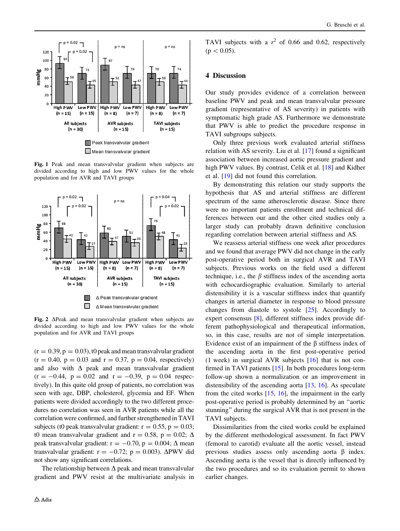<span id="page-5-0"></span>

Fig. 1 Peak and mean transvalvular gradient when subjects are divided according to high and low PWV values for the whole population and for AVR and TAVI groups



Fig. 2  $\Delta$ Peak and mean transvalvular gradient when subjects are divided according to high and low PWV values for the whole population and for AVR and TAVI groups

 $(r = 0.39, p = 0.03)$ , to peak and mean transvalvular gradient  $(r = 0.40, p = 0.03$  and  $r = 0.37, p = 0.04$ , respectively) and also with  $\Delta$  peak and mean transvalvular gradient  $(r = -0.44, p = 0.02 \text{ and } r = -0.39, p = 0.04 \text{ respec-}$ tively). In this quite old group of patients, no correlation was seen with age, DBP, cholesterol, glycemia and EF. When patients were divided accordingly to the two different procedures no correlation was seen in AVR patients while all the correlation were confirmed, and further strengthened in TAVI subjects (t0 peak transvalvular gradient:  $r = 0.55$ ,  $p = 0.03$ ; t0 mean transvalvular gradient and  $r = 0.58$ ,  $p = 0.02$ ;  $\Delta$ peak transvalvular gradient:  $r = -0.70$ ,  $p = 0.004$ ;  $\Delta$  mean transvalvular gradient:  $r = -0.72$ ;  $p = 0.003$ ).  $\Delta$ PWV did not show any significant correlations.

The relationship between  $\Delta$  peak and mean transvalvular gradient and PWV resist at the multivariate analysis in

TAVI subjects with a  $r^2$  of 0.66 and 0.62, respectively  $(p<0.05)$ .

#### 4 Discussion

Our study provides evidence of a correlation between baseline PWV and peak and mean transvalvular pressure gradient (representative of AS severity) in patients with symptomatic high grade AS. Furthermore we demonstrate that PWV is able to predict the procedure response in TAVI subgroups subjects.

Only three previous work evaluated arterial stiffness relation with AS severity. Liu et al. [[17\]](#page-8-0) found a significant association between increased aortic pressure gradient and high PWV values. By contrast, Celik et al. [\[18](#page-8-0)] and Kidher et al. [\[19](#page-8-0)] did not found this correlation.

By demonstrating this relation our study supports the hypothesis that AS and arterial stiffness are different spectrum of the same atherosclerotic disease. Since there were no important patients enrollment and technical differences between our and the other cited studies only a larger study can probably drawn definitive conclusion regarding correlation between arterial stiffness and AS.

We reassess arterial stiffness one week after procedures and we found that average PWV did not change in the early post-operative period both in surgical AVR and TAVI subjects. Previous works on the field used a different technique, i.e., the  $\beta$  stiffness index of the ascending aorta with echocardiographic evaluation. Similarly to arterial distensibility it is a vascular stiffness index that quantify changes in arterial diameter in response to blood pressure changes from diastole to systole [\[25](#page-8-0)]. Accordingly to expert consensus [[8\]](#page-8-0), different stiffness index provide different pathophysiological and therapeutical information, so, in this case, results are not of simple interpretation. Evidence exist of an impairment of the  $\beta$  stiffness index of the ascending aorta in the first post-operative period (1 week) in surgical AVR subjects  $[16]$  $[16]$  that is not confirmed in TAVI patients [[15\]](#page-8-0). In both procedures long-term follow-up shown a normalization or an improvement in distensibility of the ascending aorta [[13,](#page-8-0) [16\]](#page-8-0). As speculate from the cited works [[15,](#page-8-0) [16\]](#page-8-0), the impairment in the early post-operative period is probably determined by an ''aortic stunning'' during the surgical AVR that is not present in the TAVI subjects.

Dissimilarities from the cited works could be explained by the different methodological assessment. In fact PWV (femoral to carotid) evaluate all the aortic vessel, instead previous studies assess only ascending aorta  $\beta$  index. Ascending aorta is the vessel that is directly influenced by the two procedures and so its evaluation permit to shown earlier changes.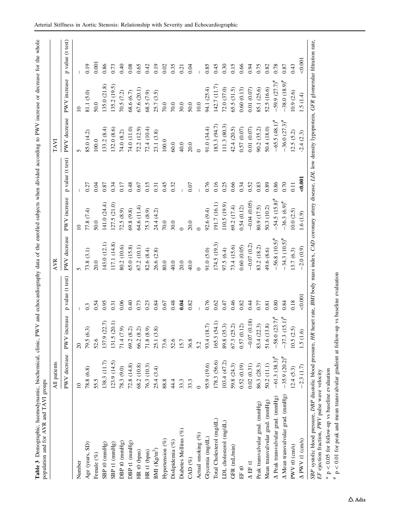| <br>The coconded of the coconded in the second second in the second second second in the second second in the second second in the second second in the second second in the second second in the second second in the second<br>and the partner and<br>֞ |  |
|-----------------------------------------------------------------------------------------------------------------------------------------------------------------------------------------------------------------------------------------------------------|--|
| į<br>j                                                                                                                                                                                                                                                    |  |
| co unham diundo<br>.<br>.<br>.<br>.<br>ייי שאטוני                                                                                                                                                                                                         |  |
| contributed that the case of the contributed to<br>and on the complete set                                                                                                                                                                                |  |
|                                                                                                                                                                                                                                                           |  |
| $\ddot{\tilde{}}$<br>ישע שנו<br>Lond                                                                                                                                                                                                                      |  |
| $\geq$<br>Í                                                                                                                                                                                                                                               |  |
|                                                                                                                                                                                                                                                           |  |
|                                                                                                                                                                                                                                                           |  |
| ļ                                                                                                                                                                                                                                                         |  |

<span id="page-6-0"></span>

|                                   | All patients       |                   |                  | <b>AVR</b>            |                   |                   | TAVI                |                    |                   |
|-----------------------------------|--------------------|-------------------|------------------|-----------------------|-------------------|-------------------|---------------------|--------------------|-------------------|
|                                   | PWV decrease       | increase<br>PWV   | p value (t test) | PWV decrease          | PWV increase      | p value (t test)  | PWV decrease        | PWV increase       | p value (t test)  |
| Number                            | $\Box$             |                   |                  |                       | $\overline{10}$   |                   |                     | $\overline{a}$     |                   |
| Age (years, SD)                   | 78.8 (6.8)         | (6.3)<br>79.5(    | $0.\overline{3}$ | 73.8(3.1)             | 77.8 (7.4)        | 0.27              | 85.0 (4.2)          | 81.1 (5.0)         | 0.19              |
| Female $(\%)$                     | 55.5               | 52.6              | 0.54             | 20.0                  | 50.0              | 0.04              | 100.0               | 50.0               | 0.001             |
| $SBP$ to $(mmHg)$                 | 138.3 (11.7)       | (22.7)<br>137.9   | 0.95             | 143.0 (12.1)          | $(41.0 \; (24.4)$ | 0.87              | (33.2(8.4)          | 135.0 (21.8)       | 0.86              |
| SBP t1 (mmHg)                     | (23.9)(14.5)       | $(20.1)$<br>131.5 | 0.31             | 117.1 (14.8)          | 127.5 (21.0)      | 0.34              | 132.0(8.6)          | 135.2(19.5)        | 0.73              |
| DBP t0 $(mmHg)$                   | 78.3 (9.0)         | (7.9)<br>71.4(    | 0.06             | 80.2 (10.6)           | 72.5(8.9)         | 0.17              | 74.0 (8.2)          | 70.5(7.2)          | 0.40              |
| DBP t1 (mmHg)                     | 72.8(14.8)         | (8.2)<br>69.2     | 0.40             | 65.0 (15.8)           | 69.8(9.8)         | 0.48              | 74.0 (11.0)         | 68.6 (6.7)         | 0.08              |
| HR <sub>t0</sub> (bpm)            | 68.2 (10.8)        | (8.2)<br>66.2     | 0.73             | 67.2 (10.1)           | 64.6 (11.4)       | 0.67              | 72.2 (12.9)         | 67.6 (20.1)        | 0.65              |
| HR <sub>t1</sub> (bpm)            | 76.3 (10.3)        | (8.9)<br>$71.8\,$ | 0.23             | 82.6(8.4)             | 75.3(8.9)         | 0.15              | 72.4 (10.4)         | 68.5 (7.9)         | 0.42              |
| BMI $(Kg/m^2)$                    | 25.4(3.4)          | (3.8)<br>25.1     | 0.84             | 26.6(2.8)             | 24.4 (4.2)        | 0.31              | 23.1 (3.8)          | 25.7 (3.5)         | 0.19              |
| Hypertension $(\% )$              | 88.8               | 73.6              | 0.67             | 80.0                  | 70.0              | 0.45              | 100.0               | 70.0               | 0.02              |
| Dislipidemia (%)                  | 44.4               | 52.6              | 0.48             | 40.0                  | 30.0              | 0.32              | 60.0                | 70.0               | 0.35              |
| Diabetes Mellitus (%)             | 33.3               | 15.7              | 0.04             | 20.0                  |                   |                   | 40.0                | 30.0               | $\overline{0.21}$ |
| CAD <sup>(%)</sup>                | 33.3               | 36.8              | 0.82             | 40.0                  | 20.0              | 0.07              | 20.0                | 50.0               | 0.04              |
| Actual smoking (%)                | $\overline{C}$     | 5.2               |                  |                       |                   |                   |                     | $10.0\,$           |                   |
| Glycemia (mg/dL)                  | 95.9 (19.6)        | (18.7)<br>93.4    | 0.76             | 91.0(5.0)             | 92.6(9.4)         | 0.76              | 91.0 (34.4)         | 94.1 (25.4)        | 0.85              |
| Total Cholesterol (mg/dL)         | 178.3 (56.6)       | (54.1)<br>165.3   | 0.62             | 174.5 (19.3)          | 191.7 (16.1)      | 0.16              | 183.3 (94.7)        | 142.7 (11.7)       | 0.45              |
| LDL cholesterol (mg/dL)           | 103.4(47.2)        | (35.3)<br>89.8    | 0.47             | 97.5(6.4)             | (10.5(19.9))      | 0.25              | 111.3 (80.3)        | 72.0 (37.0)        | 0.30              |
| GFR (mL/min)                      | 59.8 (24.3)        | (25.2)<br>67.3    | 0.46             | 73.4 (15.6)           | 69.2 (17.4)       | 0.66              | 42.4 (20.5)         | 65.5 (31.5)        | 0.15              |
| $\rm EF$ t<br>0                   | 0.52(0.19)         | (0.12)<br>0.57    | 0.82             | 0.60(0.05)            | 0.54(0.12)        | 0.34              | 0.57(0.07)          | 0.60(0.13)         | 0.66              |
| $\Delta$ EF t1                    | 0.02(0.31)         | $-0.07(0.18)$     | 0.44             | $-0.07(0.2)$          | $-0.04(0.05)$     | 0.52              | 0.01(0.07)          | 0.01(0.07)         | 0.94              |
| Peak transvalvular grad. (mmHg)   | 86.3 (28.3)        | 83.4 (22.3)       | 0.77             | 83.2 (18.2)           | 80.9 (17.5)       | 0.83              | 90.2 (35.2)         | 85.1 (25.6)        | 0.75              |
| Mean transvalvular grad. (mmHg)   | 50.2(11.1)         | 51.6 (13.8)       | 0.81             | 49.6 (8.6)            | 50.3 (10.2)       | 0.89              | 50.4 (18.0)         | 52.5 (16.6)        | 0.82              |
| A Peak transvalvular grad. (mmHg) | $-61.3(38.3)^{\#}$ | $-58.0 (23.7)^*$  | 0.80             | $-56.8(10.5)^{*}$     | $-54.5(15.8)^{4}$ | 0.86              | $-65.5(48.1)^{#}$   | $-59.9 (27.7)^{4}$ | 0.78              |
| A Mean transvalvular grad. (mmHg) | $-35.9(20.2)^{4}$  | $-37.3(15.1)^{4}$ | 0.84             | $-34.3$ $(10.5)^{\#}$ | $-36.3(6.9)^{*}$  | 0.70              | $-36.0 (27.3)^{\#}$ | $-38.0(18.9)^{\#}$ | 0.87              |
| PWV t0 $\left(\text{cm/s}\right)$ | (2.4(5.3)          | 10.5(2.5)         | 0.18             | 13.7(6.3)             | 10.0(2.5)         | $\overline{0.11}$ | 12.5(5.2)           | 10.9(2.6)          | 0.43              |
| $\Delta$ PWV t1 (cm/s)            | $-2.3(1.7)$        | 1.5(1.6)          | 0.001            | $-2.0(0.9)$           | 1.6(1.9)          | 0.001             | $-2.4(2.3)$         | 1.5 (1.4)          | 0.001             |

\* p #

 $< 0.05$  for follow-up vs baseline evaluation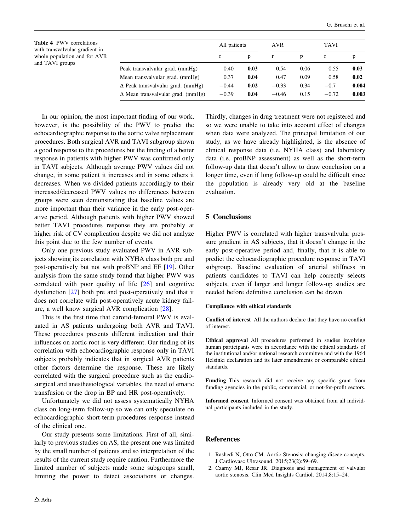<span id="page-7-0"></span>Table 4 PWV correlations with transvalvular gradient in whole population and for AVR and TAVI groups

|                                          | All patients |      | AVR     |      | TAVI    |       |
|------------------------------------------|--------------|------|---------|------|---------|-------|
|                                          |              | p    |         | p    | r       | p     |
| Peak transvalvular grad. (mmHg)          | 0.40         | 0.03 | 0.54    | 0.06 | 0.55    | 0.03  |
| Mean transvalvular grad. (mmHg)          | 0.37         | 0.04 | 0.47    | 0.09 | 0.58    | 0.02  |
| $\Delta$ Peak transvalvular grad. (mmHg) | $-0.44$      | 0.02 | $-0.33$ | 0.34 | $-0.7$  | 0.004 |
| $\Delta$ Mean transvalvular grad. (mmHg) | $-0.39$      | 0.04 | $-0.46$ | 0.15 | $-0.72$ | 0.003 |

In our opinion, the most important finding of our work, however, is the possibility of the PWV to predict the echocardiographic response to the aortic valve replacement procedures. Both surgical AVR and TAVI subgroup shown a good response to the procedures but the finding of a better response in patients with higher PWV was confirmed only in TAVI subjects. Although average PWV values did not change, in some patient it increases and in some others it decreases. When we divided patients accordingly to their increased/decreased PWV values no differences between groups were seen demonstrating that baseline values are more important than their variance in the early post-operative period. Although patients with higher PWV showed better TAVI procedures response they are probably at higher risk of CV complication despite we did not analyze this point due to the few number of events.

Only one previous study evaluated PWV in AVR subjects showing its correlation with NYHA class both pre and post-operatively but not with proBNP and EF [[19\]](#page-8-0). Other analysis from the same study found that higher PWV was correlated with poor quality of life [\[26](#page-8-0)] and cognitive dysfunction [\[27](#page-8-0)] both pre and post-operatively and that it does not correlate with post-operatively acute kidney failure, a well know surgical AVR complication [[28\]](#page-8-0).

This is the first time that carotid-femoral PWV is evaluated in AS patients undergoing both AVR and TAVI. These procedures presents different indication and their influences on aortic root is very different. Our finding of its correlation with echocardiographic response only in TAVI subjects probably indicates that in surgical AVR patients other factors determine the response. These are likely correlated with the surgical procedure such as the cardiosurgical and anesthesiological variables, the need of ematic transfusion or the drop in BP and HR post-operatively.

Unfortunately we did not assess systematically NYHA class on long-term follow-up so we can only speculate on echocardiographic short-term procedures response instead of the clinical one.

Our study presents some limitations. First of all, similarly to previous studies on AS, the present one was limited by the small number of patients and so interpretation of the results of the current study require caution. Furthermore the limited number of subjects made some subgroups small, limiting the power to detect associations or changes.

Thirdly, changes in drug treatment were not registered and so we were unable to take into account effect of changes when data were analyzed. The principal limitation of our study, as we have already highlighted, is the absence of clinical response data (i.e. NYHA class) and laboratory data (i.e. proBNP assessment) as well as the short-term follow-up data that doesn't allow to draw conclusion on a longer time, even if long follow-up could be difficult since the population is already very old at the baseline evaluation.

# 5 Conclusions

Higher PWV is correlated with higher transvalvular pressure gradient in AS subjects, that it doesn't change in the early post-operative period and, finally, that it is able to predict the echocardiographic procedure response in TAVI subgroup. Baseline evaluation of arterial stiffness in patients candidates to TAVI can help correctly selects subjects, even if larger and longer follow-up studies are needed before definitive conclusion can be drawn.

## Compliance with ethical standards

Conflict of interest All the authors declare that they have no conflict of interest.

Ethical approval All procedures performed in studies involving human participants were in accordance with the ethical standards of the institutional and/or national research committee and with the 1964 Helsinki declaration and its later amendments or comparable ethical standards.

Funding This research did not receive any specific grant from funding agencies in the public, commercial, or not-for-profit sectors.

Informed consent Informed consent was obtained from all individual participants included in the study.

# References

- 1. Rashedi N, Otto CM. Aortic Stenosis: changing diseae concepts. J Cardiovasc Ultrasound. 2015;23(2):59–69.
- 2. Czarny MJ, Resar JR. Diagnosis and management of valvular aortic stenosis. Clin Med Insights Cardiol. 2014;8:15–24.